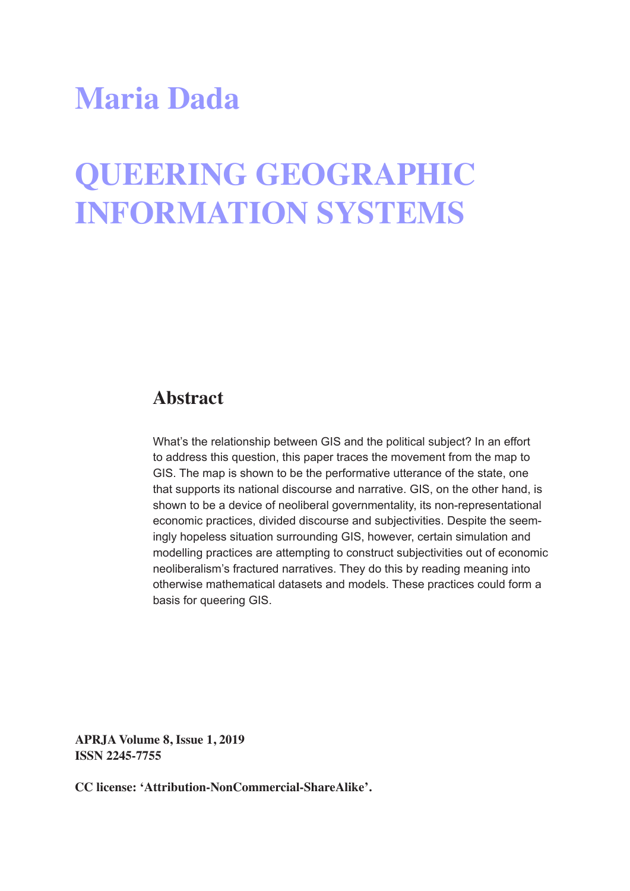# **Maria Dada**

# **QUEERING GEOGRAPHIC INFORMATION SYSTEMS**

#### **Abstract**

What's the relationship between GIS and the political subject? In an effort to address this question, this paper traces the movement from the map to GIS. The map is shown to be the performative utterance of the state, one that supports its national discourse and narrative. GIS, on the other hand, is shown to be a device of neoliberal governmentality, its non-representational economic practices, divided discourse and subjectivities. Despite the seemingly hopeless situation surrounding GIS, however, certain simulation and modelling practices are attempting to construct subjectivities out of economic neoliberalism's fractured narratives. They do this by reading meaning into otherwise mathematical datasets and models. These practices could form a basis for queering GIS.

**APRJA Volume 8, Issue 1, 2019 ISSN 2245-7755**

**CC license: 'Attribution-NonCommercial-ShareAlike'.**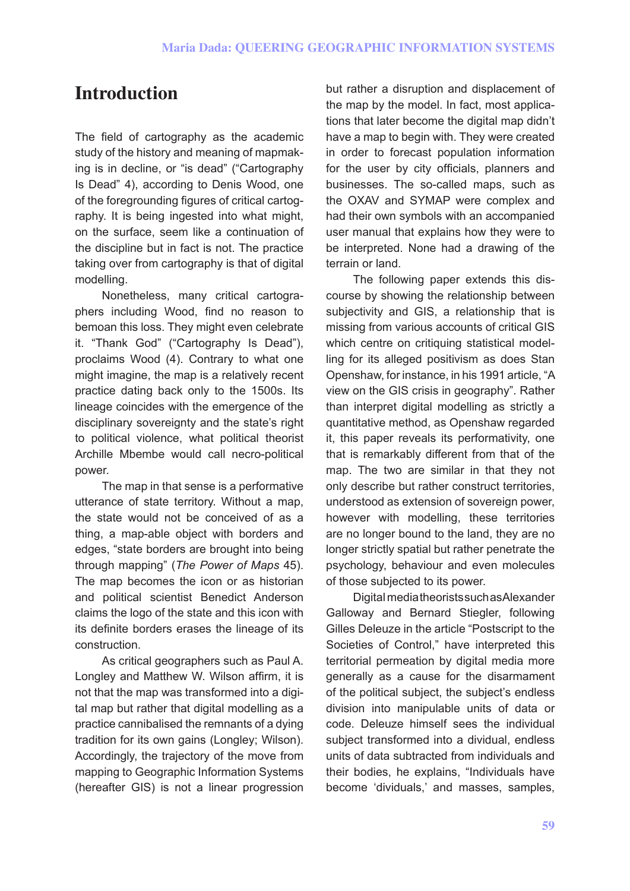# **Introduction**

The field of cartography as the academic study of the history and meaning of mapmaking is in decline, or "is dead" ("Cartography Is Dead" 4), according to Denis Wood, one of the foregrounding figures of critical cartography. It is being ingested into what might, on the surface, seem like a continuation of the discipline but in fact is not. The practice taking over from cartography is that of digital modelling.

Nonetheless, many critical cartographers including Wood, find no reason to bemoan this loss. They might even celebrate it. "Thank God" ("Cartography Is Dead"), proclaims Wood (4). Contrary to what one might imagine, the map is a relatively recent practice dating back only to the 1500s. Its lineage coincides with the emergence of the disciplinary sovereignty and the state's right to political violence, what political theorist Archille Mbembe would call necro-political power.

The map in that sense is a performative utterance of state territory. Without a map, the state would not be conceived of as a thing, a map-able object with borders and edges, "state borders are brought into being through mapping" (*The Power of Maps* 45). The map becomes the icon or as historian and political scientist Benedict Anderson claims the logo of the state and this icon with its definite borders erases the lineage of its construction.

As critical geographers such as Paul A. Longley and Matthew W. Wilson affirm, it is not that the map was transformed into a digital map but rather that digital modelling as a practice cannibalised the remnants of a dying tradition for its own gains (Longley; Wilson). Accordingly, the trajectory of the move from mapping to Geographic Information Systems (hereafter GIS) is not a linear progression

but rather a disruption and displacement of the map by the model. In fact, most applications that later become the digital map didn't have a map to begin with. They were created in order to forecast population information for the user by city officials, planners and businesses. The so-called maps, such as the OXAV and SYMAP were complex and had their own symbols with an accompanied user manual that explains how they were to be interpreted. None had a drawing of the terrain or land.

The following paper extends this discourse by showing the relationship between subjectivity and GIS, a relationship that is missing from various accounts of critical GIS which centre on critiquing statistical modelling for its alleged positivism as does Stan Openshaw, for instance, in his 1991 article, "A view on the GIS crisis in geography". Rather than interpret digital modelling as strictly a quantitative method, as Openshaw regarded it, this paper reveals its performativity, one that is remarkably different from that of the map. The two are similar in that they not only describe but rather construct territories, understood as extension of sovereign power, however with modelling, these territories are no longer bound to the land, they are no longer strictly spatial but rather penetrate the psychology, behaviour and even molecules of those subjected to its power.

Digital media theorists such as Alexander Galloway and Bernard Stiegler, following Gilles Deleuze in the article "Postscript to the Societies of Control," have interpreted this territorial permeation by digital media more generally as a cause for the disarmament of the political subject, the subject's endless division into manipulable units of data or code. Deleuze himself sees the individual subject transformed into a dividual, endless units of data subtracted from individuals and their bodies, he explains, "Individuals have become 'dividuals,' and masses, samples,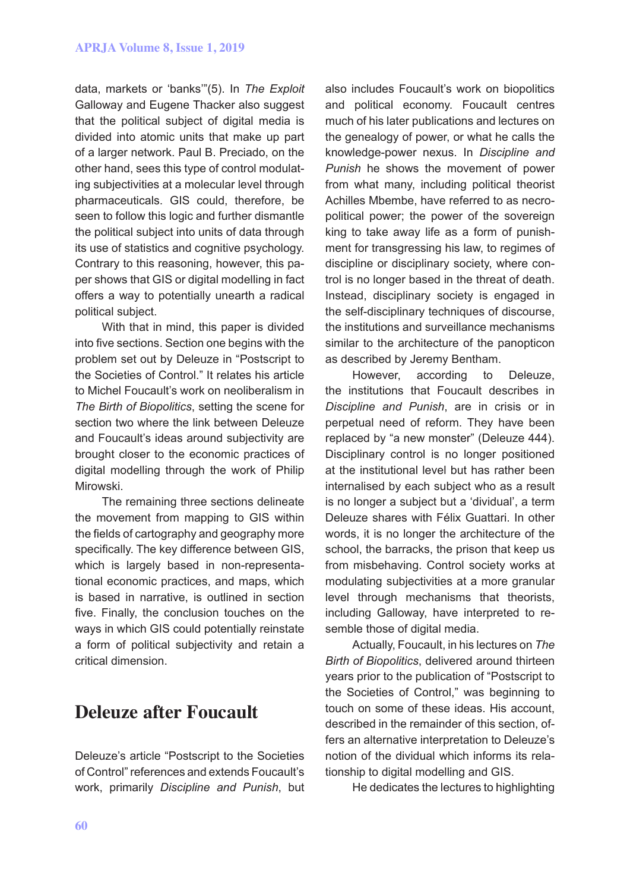data, markets or 'banks'"(5). In *The Exploit*  Galloway and Eugene Thacker also suggest that the political subject of digital media is divided into atomic units that make up part of a larger network. Paul B. Preciado, on the other hand, sees this type of control modulating subjectivities at a molecular level through pharmaceuticals. GIS could, therefore, be seen to follow this logic and further dismantle the political subject into units of data through its use of statistics and cognitive psychology. Contrary to this reasoning, however, this paper shows that GIS or digital modelling in fact offers a way to potentially unearth a radical political subject.

With that in mind, this paper is divided into five sections. Section one begins with the problem set out by Deleuze in "Postscript to the Societies of Control." It relates his article to Michel Foucault's work on neoliberalism in *The Birth of Biopolitics*, setting the scene for section two where the link between Deleuze and Foucault's ideas around subjectivity are brought closer to the economic practices of digital modelling through the work of Philip Mirowski.

The remaining three sections delineate the movement from mapping to GIS within the fields of cartography and geography more specifically. The key difference between GIS, which is largely based in non-representational economic practices, and maps, which is based in narrative, is outlined in section five. Finally, the conclusion touches on the ways in which GIS could potentially reinstate a form of political subjectivity and retain a critical dimension.

#### **Deleuze after Foucault**

Deleuze's article "Postscript to the Societies of Control" references and extends Foucault's work, primarily *Discipline and Punish*, but

also includes Foucault's work on biopolitics and political economy. Foucault centres much of his later publications and lectures on the genealogy of power, or what he calls the knowledge-power nexus. In *Discipline and Punish* he shows the movement of power from what many, including political theorist Achilles Mbembe, have referred to as necropolitical power; the power of the sovereign king to take away life as a form of punishment for transgressing his law, to regimes of discipline or disciplinary society, where control is no longer based in the threat of death. Instead, disciplinary society is engaged in the self-disciplinary techniques of discourse, the institutions and surveillance mechanisms similar to the architecture of the panopticon as described by Jeremy Bentham.

However, according to Deleuze, the institutions that Foucault describes in *Discipline and Punish*, are in crisis or in perpetual need of reform. They have been replaced by "a new monster" (Deleuze 444). Disciplinary control is no longer positioned at the institutional level but has rather been internalised by each subject who as a result is no longer a subject but a 'dividual', a term Deleuze shares with Félix Guattari. In other words, it is no longer the architecture of the school, the barracks, the prison that keep us from misbehaving. Control society works at modulating subjectivities at a more granular level through mechanisms that theorists, including Galloway, have interpreted to resemble those of digital media.

Actually, Foucault, in his lectures on *The Birth of Biopolitics*, delivered around thirteen years prior to the publication of "Postscript to the Societies of Control," was beginning to touch on some of these ideas. His account, described in the remainder of this section, offers an alternative interpretation to Deleuze's notion of the dividual which informs its relationship to digital modelling and GIS.

He dedicates the lectures to highlighting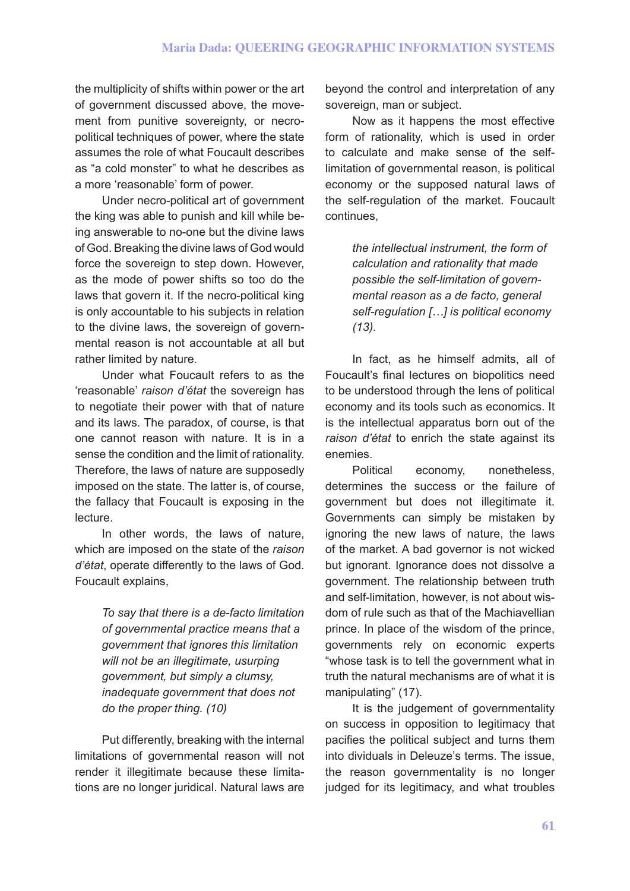the multiplicity of shifts within power or the art of government discussed above, the movement from punitive sovereignty, or necropolitical techniques of power, where the state assumes the role of what Foucault describes as "a cold monster" to what he describes as a more 'reasonable' form of power.

Under necro-political art of government the king was able to punish and kill while being answerable to no-one but the divine laws of God. Breaking the divine laws of God would force the sovereign to step down. However, as the mode of power shifts so too do the laws that govern it. If the necro-political king is only accountable to his subjects in relation to the divine laws, the sovereign of governmental reason is not accountable at all but rather limited by nature.

Under what Foucault refers to as the 'reasonable' *raison d'état* the sovereign has to negotiate their power with that of nature and its laws. The paradox, of course, is that one cannot reason with nature. It is in a sense the condition and the limit of rationality. Therefore, the laws of nature are supposedly imposed on the state. The latter is, of course, the fallacy that Foucault is exposing in the lecture.

In other words, the laws of nature, which are imposed on the state of the *raison d'état*, operate differently to the laws of God. Foucault explains,

> *To say that there is a de-facto limitation of governmental practice means that a government that ignores this limitation will not be an illegitimate, usurping government, but simply a clumsy, inadequate government that does not do the proper thing. (10)*

Put differently, breaking with the internal limitations of governmental reason will not render it illegitimate because these limitations are no longer juridical. Natural laws are

beyond the control and interpretation of any sovereign, man or subject.

Now as it happens the most effective form of rationality, which is used in order to calculate and make sense of the selflimitation of governmental reason, is political economy or the supposed natural laws of the self-regulation of the market. Foucault continues,

> *the intellectual instrument, the form of calculation and rationality that made possible the self-limitation of governmental reason as a de facto, general self-regulation […] is political economy (13).*

In fact, as he himself admits, all of Foucault's final lectures on biopolitics need to be understood through the lens of political economy and its tools such as economics. It is the intellectual apparatus born out of the *raison d'état* to enrich the state against its enemies.

Political economy, nonetheless, determines the success or the failure of government but does not illegitimate it. Governments can simply be mistaken by ignoring the new laws of nature, the laws of the market. A bad governor is not wicked but ignorant. Ignorance does not dissolve a government. The relationship between truth and self-limitation, however, is not about wisdom of rule such as that of the Machiavellian prince. In place of the wisdom of the prince, governments rely on economic experts "whose task is to tell the government what in truth the natural mechanisms are of what it is manipulating" (17).

It is the judgement of governmentality on success in opposition to legitimacy that pacifies the political subject and turns them into dividuals in Deleuze's terms. The issue, the reason governmentality is no longer judged for its legitimacy, and what troubles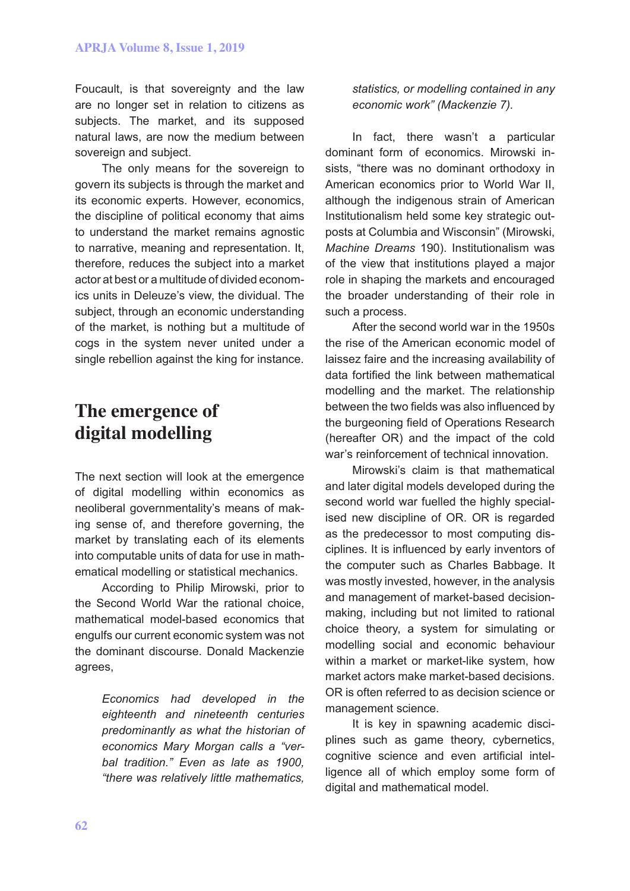Foucault, is that sovereignty and the law are no longer set in relation to citizens as subjects. The market, and its supposed natural laws, are now the medium between sovereign and subject.

The only means for the sovereign to govern its subjects is through the market and its economic experts. However, economics, the discipline of political economy that aims to understand the market remains agnostic to narrative, meaning and representation. It, therefore, reduces the subject into a market actor at best or a multitude of divided economics units in Deleuze's view, the dividual. The subject, through an economic understanding of the market, is nothing but a multitude of cogs in the system never united under a single rebellion against the king for instance.

### **The emergence of digital modelling**

The next section will look at the emergence of digital modelling within economics as neoliberal governmentality's means of making sense of, and therefore governing, the market by translating each of its elements into computable units of data for use in mathematical modelling or statistical mechanics.

According to Philip Mirowski, prior to the Second World War the rational choice, mathematical model-based economics that engulfs our current economic system was not the dominant discourse. Donald Mackenzie agrees,

> *Economics had developed in the eighteenth and nineteenth centuries predominantly as what the historian of economics Mary Morgan calls a "verbal tradition." Even as late as 1900, "there was relatively little mathematics,*

*statistics, or modelling contained in any economic work" (Mackenzie 7).* 

In fact, there wasn't a particular dominant form of economics. Mirowski insists, "there was no dominant orthodoxy in American economics prior to World War II, although the indigenous strain of American Institutionalism held some key strategic outposts at Columbia and Wisconsin" (Mirowski, *Machine Dreams* 190). Institutionalism was of the view that institutions played a major role in shaping the markets and encouraged the broader understanding of their role in such a process.

After the second world war in the 1950s the rise of the American economic model of laissez faire and the increasing availability of data fortified the link between mathematical modelling and the market. The relationship between the two fields was also influenced by the burgeoning field of Operations Research (hereafter OR) and the impact of the cold war's reinforcement of technical innovation.

Mirowski's claim is that mathematical and later digital models developed during the second world war fuelled the highly specialised new discipline of OR. OR is regarded as the predecessor to most computing disciplines. It is influenced by early inventors of the computer such as Charles Babbage. It was mostly invested, however, in the analysis and management of market-based decisionmaking, including but not limited to rational choice theory, a system for simulating or modelling social and economic behaviour within a market or market-like system, how market actors make market-based decisions. OR is often referred to as decision science or management science.

It is key in spawning academic disciplines such as game theory, cybernetics, cognitive science and even artificial intelligence all of which employ some form of digital and mathematical model.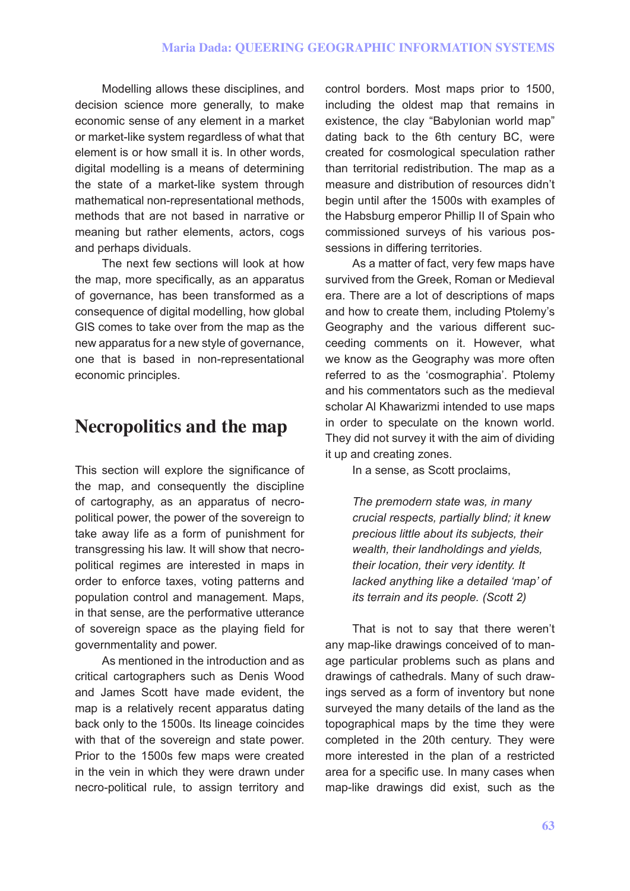Modelling allows these disciplines, and decision science more generally, to make economic sense of any element in a market or market-like system regardless of what that element is or how small it is. In other words, digital modelling is a means of determining the state of a market-like system through mathematical non-representational methods, methods that are not based in narrative or meaning but rather elements, actors, cogs and perhaps dividuals.

The next few sections will look at how the map, more specifically, as an apparatus of governance, has been transformed as a consequence of digital modelling, how global GIS comes to take over from the map as the new apparatus for a new style of governance, one that is based in non-representational economic principles.

#### **Necropolitics and the map**

This section will explore the significance of the map, and consequently the discipline of cartography, as an apparatus of necropolitical power, the power of the sovereign to take away life as a form of punishment for transgressing his law. It will show that necropolitical regimes are interested in maps in order to enforce taxes, voting patterns and population control and management. Maps, in that sense, are the performative utterance of sovereign space as the playing field for governmentality and power.

As mentioned in the introduction and as critical cartographers such as Denis Wood and James Scott have made evident, the map is a relatively recent apparatus dating back only to the 1500s. Its lineage coincides with that of the sovereign and state power. Prior to the 1500s few maps were created in the vein in which they were drawn under necro-political rule, to assign territory and

control borders. Most maps prior to 1500, including the oldest map that remains in existence, the clay "Babylonian world map" dating back to the 6th century BC, were created for cosmological speculation rather than territorial redistribution. The map as a measure and distribution of resources didn't begin until after the 1500s with examples of the Habsburg emperor Phillip II of Spain who commissioned surveys of his various possessions in differing territories.

As a matter of fact, very few maps have survived from the Greek, Roman or Medieval era. There are a lot of descriptions of maps and how to create them, including Ptolemy's Geography and the various different succeeding comments on it. However, what we know as the Geography was more often referred to as the 'cosmographia'. Ptolemy and his commentators such as the medieval scholar Al Khawarizmi intended to use maps in order to speculate on the known world. They did not survey it with the aim of dividing it up and creating zones.

In a sense, as Scott proclaims,

*The premodern state was, in many crucial respects, partially blind; it knew precious little about its subjects, their wealth, their landholdings and yields, their location, their very identity. It lacked anything like a detailed 'map' of its terrain and its people. (Scott 2)*

That is not to say that there weren't any map-like drawings conceived of to manage particular problems such as plans and drawings of cathedrals. Many of such drawings served as a form of inventory but none surveyed the many details of the land as the topographical maps by the time they were completed in the 20th century. They were more interested in the plan of a restricted area for a specific use. In many cases when map-like drawings did exist, such as the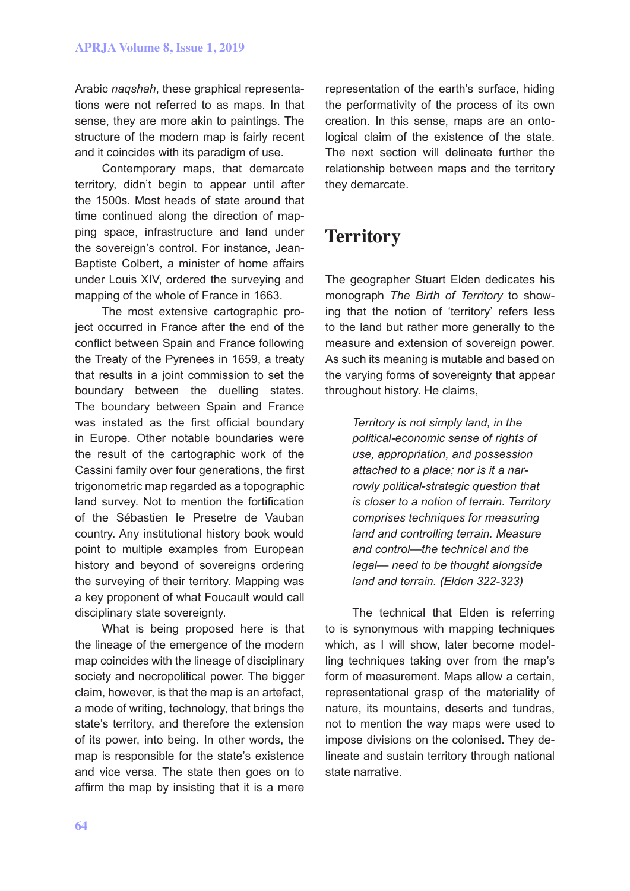Arabic *naqshah*, these graphical representations were not referred to as maps. In that sense, they are more akin to paintings. The structure of the modern map is fairly recent and it coincides with its paradigm of use.

Contemporary maps, that demarcate territory, didn't begin to appear until after the 1500s. Most heads of state around that time continued along the direction of mapping space, infrastructure and land under the sovereign's control. For instance, Jean-Baptiste Colbert, a minister of home affairs under Louis XIV, ordered the surveying and mapping of the whole of France in 1663.

The most extensive cartographic project occurred in France after the end of the conflict between Spain and France following the Treaty of the Pyrenees in 1659, a treaty that results in a joint commission to set the boundary between the duelling states. The boundary between Spain and France was instated as the first official boundary in Europe. Other notable boundaries were the result of the cartographic work of the Cassini family over four generations, the first trigonometric map regarded as a topographic land survey. Not to mention the fortification of the Sébastien le Presetre de Vauban country. Any institutional history book would point to multiple examples from European history and beyond of sovereigns ordering the surveying of their territory. Mapping was a key proponent of what Foucault would call disciplinary state sovereignty.

What is being proposed here is that the lineage of the emergence of the modern map coincides with the lineage of disciplinary society and necropolitical power. The bigger claim, however, is that the map is an artefact, a mode of writing, technology, that brings the state's territory, and therefore the extension of its power, into being. In other words, the map is responsible for the state's existence and vice versa. The state then goes on to affirm the map by insisting that it is a mere

representation of the earth's surface, hiding the performativity of the process of its own creation. In this sense, maps are an ontological claim of the existence of the state. The next section will delineate further the relationship between maps and the territory they demarcate.

### **Territory**

The geographer Stuart Elden dedicates his monograph *The Birth of Territory* to showing that the notion of 'territory' refers less to the land but rather more generally to the measure and extension of sovereign power. As such its meaning is mutable and based on the varying forms of sovereignty that appear throughout history. He claims,

> *Territory is not simply land, in the political-economic sense of rights of use, appropriation, and possession attached to a place; nor is it a narrowly political-strategic question that is closer to a notion of terrain. Territory comprises techniques for measuring land and controlling terrain. Measure and control—the technical and the legal— need to be thought alongside land and terrain. (Elden 322-323)*

The technical that Elden is referring to is synonymous with mapping techniques which, as I will show, later become modelling techniques taking over from the map's form of measurement. Maps allow a certain, representational grasp of the materiality of nature, its mountains, deserts and tundras, not to mention the way maps were used to impose divisions on the colonised. They delineate and sustain territory through national state narrative.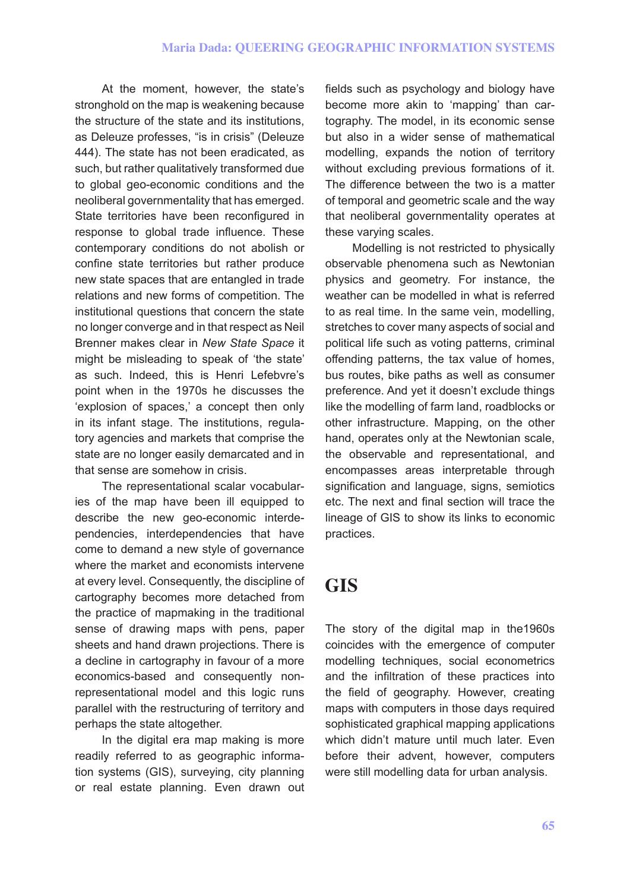At the moment, however, the state's stronghold on the map is weakening because the structure of the state and its institutions, as Deleuze professes, "is in crisis" (Deleuze 444). The state has not been eradicated, as such, but rather qualitatively transformed due to global geo-economic conditions and the neoliberal governmentality that has emerged. State territories have been reconfigured in response to global trade influence. These contemporary conditions do not abolish or confine state territories but rather produce new state spaces that are entangled in trade relations and new forms of competition. The institutional questions that concern the state no longer converge and in that respect as Neil Brenner makes clear in *New State Space* it might be misleading to speak of 'the state' as such. Indeed, this is Henri Lefebvre's point when in the 1970s he discusses the 'explosion of spaces,' a concept then only in its infant stage. The institutions, regulatory agencies and markets that comprise the state are no longer easily demarcated and in that sense are somehow in crisis.

The representational scalar vocabularies of the map have been ill equipped to describe the new geo-economic interdependencies, interdependencies that have come to demand a new style of governance where the market and economists intervene at every level. Consequently, the discipline of cartography becomes more detached from the practice of mapmaking in the traditional sense of drawing maps with pens, paper sheets and hand drawn projections. There is a decline in cartography in favour of a more economics-based and consequently nonrepresentational model and this logic runs parallel with the restructuring of territory and perhaps the state altogether.

In the digital era map making is more readily referred to as geographic information systems (GIS), surveying, city planning or real estate planning. Even drawn out

fields such as psychology and biology have become more akin to 'mapping' than cartography. The model, in its economic sense but also in a wider sense of mathematical modelling, expands the notion of territory without excluding previous formations of it. The difference between the two is a matter of temporal and geometric scale and the way that neoliberal governmentality operates at these varying scales.

Modelling is not restricted to physically observable phenomena such as Newtonian physics and geometry. For instance, the weather can be modelled in what is referred to as real time. In the same vein, modelling, stretches to cover many aspects of social and political life such as voting patterns, criminal offending patterns, the tax value of homes, bus routes, bike paths as well as consumer preference. And yet it doesn't exclude things like the modelling of farm land, roadblocks or other infrastructure. Mapping, on the other hand, operates only at the Newtonian scale, the observable and representational, and encompasses areas interpretable through signification and language, signs, semiotics etc. The next and final section will trace the lineage of GIS to show its links to economic practices.

# **GIS**

The story of the digital map in the1960s coincides with the emergence of computer modelling techniques, social econometrics and the infiltration of these practices into the field of geography. However, creating maps with computers in those days required sophisticated graphical mapping applications which didn't mature until much later. Even before their advent, however, computers were still modelling data for urban analysis.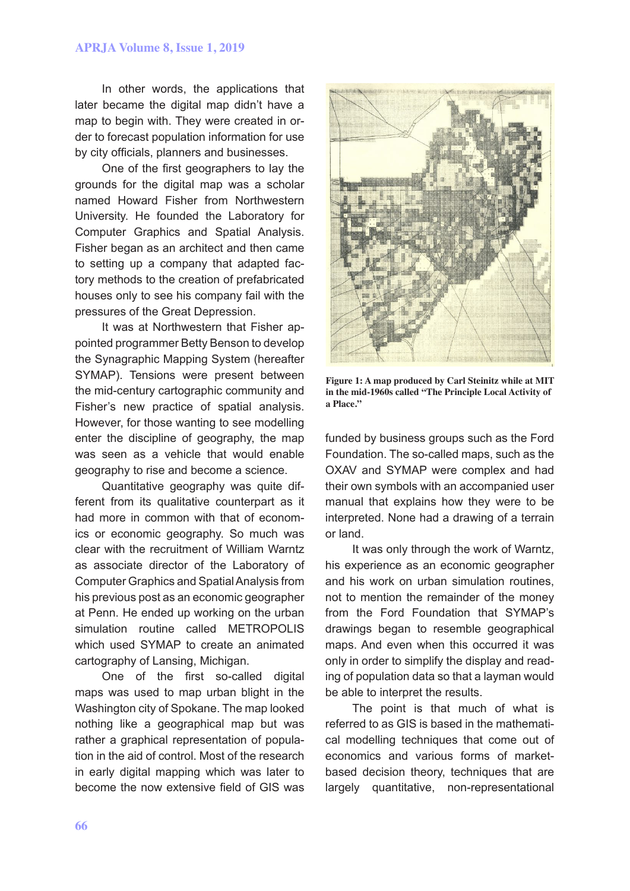#### **APRJA Volume 8, Issue 1, 2019**

In other words, the applications that later became the digital map didn't have a map to begin with. They were created in order to forecast population information for use by city officials, planners and businesses.

One of the first geographers to lay the grounds for the digital map was a scholar named Howard Fisher from Northwestern University. He founded the Laboratory for Computer Graphics and Spatial Analysis. Fisher began as an architect and then came to setting up a company that adapted factory methods to the creation of prefabricated houses only to see his company fail with the pressures of the Great Depression.

It was at Northwestern that Fisher appointed programmer Betty Benson to develop the Synagraphic Mapping System (hereafter SYMAP). Tensions were present between the mid-century cartographic community and Fisher's new practice of spatial analysis. However, for those wanting to see modelling enter the discipline of geography, the map was seen as a vehicle that would enable geography to rise and become a science.

Quantitative geography was quite different from its qualitative counterpart as it had more in common with that of economics or economic geography. So much was clear with the recruitment of William Warntz as associate director of the Laboratory of Computer Graphics and Spatial Analysis from his previous post as an economic geographer at Penn. He ended up working on the urban simulation routine called METROPOLIS which used SYMAP to create an animated cartography of Lansing, Michigan.

One of the first so-called digital maps was used to map urban blight in the Washington city of Spokane. The map looked nothing like a geographical map but was rather a graphical representation of population in the aid of control. Most of the research in early digital mapping which was later to become the now extensive field of GIS was



**Figure 1: A map produced by Carl Steinitz while at MIT in the mid-1960s called "The Principle Local Activity of a Place."**

funded by business groups such as the Ford Foundation. The so-called maps, such as the OXAV and SYMAP were complex and had their own symbols with an accompanied user manual that explains how they were to be interpreted. None had a drawing of a terrain or land.

It was only through the work of Warntz, his experience as an economic geographer and his work on urban simulation routines, not to mention the remainder of the money from the Ford Foundation that SYMAP's drawings began to resemble geographical maps. And even when this occurred it was only in order to simplify the display and reading of population data so that a layman would be able to interpret the results.

The point is that much of what is referred to as GIS is based in the mathematical modelling techniques that come out of economics and various forms of marketbased decision theory, techniques that are largely quantitative, non-representational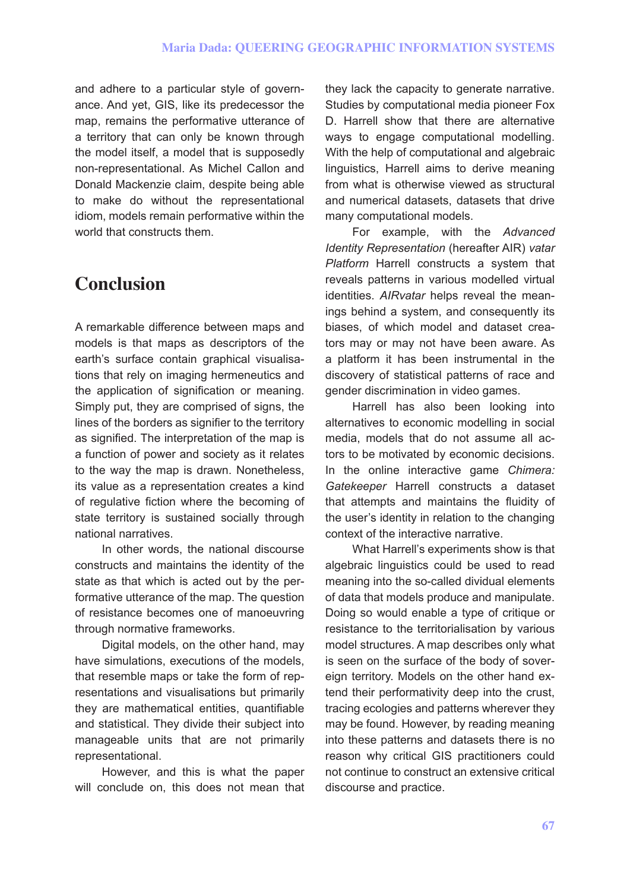and adhere to a particular style of governance. And yet, GIS, like its predecessor the map, remains the performative utterance of a territory that can only be known through the model itself, a model that is supposedly non-representational. As Michel Callon and Donald Mackenzie claim, despite being able to make do without the representational idiom, models remain performative within the world that constructs them.

# **Conclusion**

A remarkable difference between maps and models is that maps as descriptors of the earth's surface contain graphical visualisations that rely on imaging hermeneutics and the application of signification or meaning. Simply put, they are comprised of signs, the lines of the borders as signifier to the territory as signified. The interpretation of the map is a function of power and society as it relates to the way the map is drawn. Nonetheless, its value as a representation creates a kind of regulative fiction where the becoming of state territory is sustained socially through national narratives.

In other words, the national discourse constructs and maintains the identity of the state as that which is acted out by the performative utterance of the map. The question of resistance becomes one of manoeuvring through normative frameworks.

Digital models, on the other hand, may have simulations, executions of the models, that resemble maps or take the form of representations and visualisations but primarily they are mathematical entities, quantifiable and statistical. They divide their subject into manageable units that are not primarily representational.

However, and this is what the paper will conclude on, this does not mean that

they lack the capacity to generate narrative. Studies by computational media pioneer Fox D. Harrell show that there are alternative ways to engage computational modelling. With the help of computational and algebraic linguistics, Harrell aims to derive meaning from what is otherwise viewed as structural and numerical datasets, datasets that drive many computational models.

For example, with the *Advanced Identity Representation* (hereafter AIR) *vatar Platform* Harrell constructs a system that reveals patterns in various modelled virtual identities. *AIRvatar* helps reveal the meanings behind a system, and consequently its biases, of which model and dataset creators may or may not have been aware. As a platform it has been instrumental in the discovery of statistical patterns of race and gender discrimination in video games.

Harrell has also been looking into alternatives to economic modelling in social media, models that do not assume all actors to be motivated by economic decisions. In the online interactive game *Chimera: Gatekeeper* Harrell constructs a dataset that attempts and maintains the fluidity of the user's identity in relation to the changing context of the interactive narrative.

What Harrell's experiments show is that algebraic linguistics could be used to read meaning into the so-called dividual elements of data that models produce and manipulate. Doing so would enable a type of critique or resistance to the territorialisation by various model structures. A map describes only what is seen on the surface of the body of sovereign territory. Models on the other hand extend their performativity deep into the crust, tracing ecologies and patterns wherever they may be found. However, by reading meaning into these patterns and datasets there is no reason why critical GIS practitioners could not continue to construct an extensive critical discourse and practice.